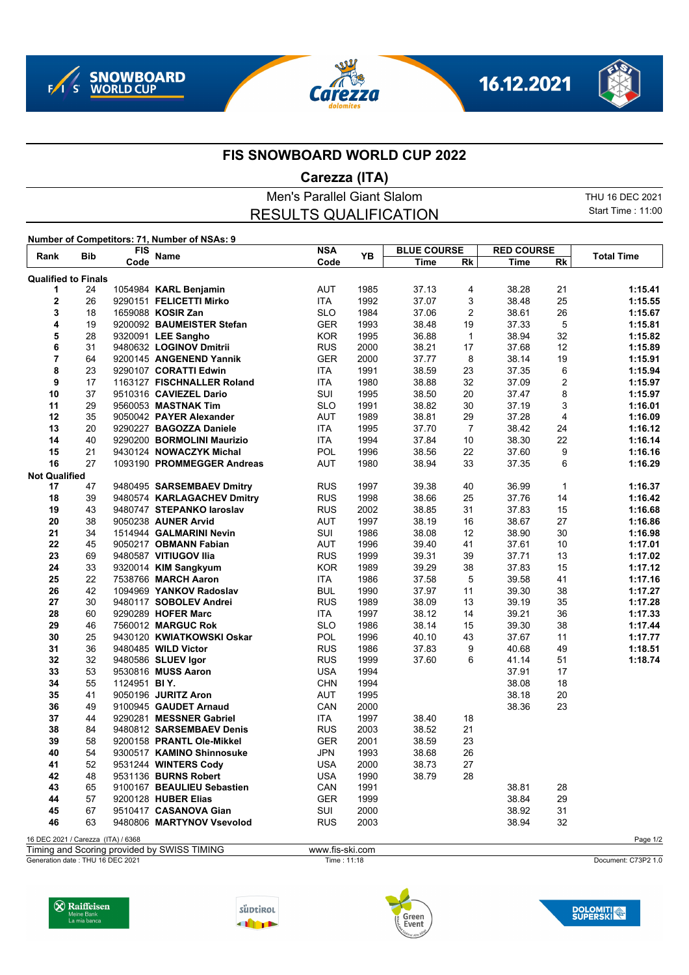







## **FIS SNOWBOARD WORLD CUP 2022**

## **Carezza (ITA)**

Men's Parallel Giant Slalom THU 16 DEC 2021 Start Time : 11:00 RESULTS QUALIFICATION **Number of Competitors: 71, Number of NSAs: 9 Rank Bib FIS Name NSA Rk YB Total Time Code Code YB DLUE CO BLUE COURSE Rk Time RED COURSE Qualified to Finals**

| wuunnou lo                         | .  |              |                            |            |      |       |                |       |              |          |
|------------------------------------|----|--------------|----------------------------|------------|------|-------|----------------|-------|--------------|----------|
| 1                                  | 24 |              | 1054984 KARL Benjamin      | AUT        | 1985 | 37.13 | 4              | 38.28 | 21           | 1:15.41  |
| 2                                  | 26 |              | 9290151 FELICETTI Mirko    | <b>ITA</b> | 1992 | 37.07 | 3              | 38.48 | 25           | 1:15.55  |
| 3                                  | 18 |              | 1659088 KOSIR Zan          | <b>SLO</b> | 1984 | 37.06 | 2              | 38.61 | 26           | 1:15.67  |
| 4                                  | 19 |              | 9200092 BAUMEISTER Stefan  | <b>GER</b> | 1993 | 38.48 | 19             | 37.33 | 5            | 1:15.81  |
| 5                                  | 28 |              | 9320091 LEE Sangho         | <b>KOR</b> | 1995 | 36.88 | $\mathbf{1}$   | 38.94 | 32           | 1:15.82  |
| 6                                  | 31 |              | 9480632 LOGINOV Dmitrii    | <b>RUS</b> | 2000 | 38.21 | 17             | 37.68 | 12           | 1:15.89  |
| 7                                  | 64 |              | 9200145 ANGENEND Yannik    | <b>GER</b> | 2000 | 37.77 | 8              | 38.14 | 19           | 1:15.91  |
| 8                                  | 23 |              | 9290107 CORATTI Edwin      | ITA        | 1991 | 38.59 | 23             | 37.35 | 6            | 1:15.94  |
| 9                                  | 17 |              | 1163127 FISCHNALLER Roland | <b>ITA</b> | 1980 | 38.88 | 32             | 37.09 | 2            | 1:15.97  |
| 10                                 | 37 |              | 9510316 CAVIEZEL Dario     | SUI        | 1995 | 38.50 | 20             | 37.47 | 8            | 1:15.97  |
| 11                                 | 29 |              | 9560053 MASTNAK Tim        | <b>SLO</b> | 1991 | 38.82 | 30             | 37.19 | 3            | 1:16.01  |
| 12                                 | 35 |              | 9050042 PAYER Alexander    | <b>AUT</b> | 1989 | 38.81 | 29             | 37.28 | 4            | 1:16.09  |
| 13                                 | 20 |              | 9290227 BAGOZZA Daniele    | ITA        | 1995 | 37.70 | $\overline{7}$ | 38.42 | 24           | 1:16.12  |
| 14                                 | 40 |              | 9290200 BORMOLINI Maurizio | ITA        | 1994 | 37.84 | 10             | 38.30 | 22           | 1:16.14  |
| 15                                 | 21 |              | 9430124 NOWACZYK Michal    | <b>POL</b> | 1996 | 38.56 | 22             | 37.60 | 9            | 1:16.16  |
| 16                                 | 27 |              | 1093190 PROMMEGGER Andreas | AUT        | 1980 | 38.94 | 33             | 37.35 | 6            | 1:16.29  |
|                                    |    |              |                            |            |      |       |                |       |              |          |
| <b>Not Qualified</b>               |    |              |                            |            |      |       |                |       |              |          |
| 17                                 | 47 |              | 9480495 SARSEMBAEV Dmitry  | <b>RUS</b> | 1997 | 39.38 | 40             | 36.99 | $\mathbf{1}$ | 1:16.37  |
| 18                                 | 39 |              | 9480574 KARLAGACHEV Dmitry | <b>RUS</b> | 1998 | 38.66 | 25             | 37.76 | 14           | 1:16.42  |
| 19                                 | 43 |              | 9480747 STEPANKO laroslav  | <b>RUS</b> | 2002 | 38.85 | 31             | 37.83 | 15           | 1:16.68  |
| 20                                 | 38 |              | 9050238 AUNER Arvid        | AUT        | 1997 | 38.19 | 16             | 38.67 | 27           | 1:16.86  |
| 21                                 | 34 |              | 1514944 GALMARINI Nevin    | SUI        | 1986 | 38.08 | 12             | 38.90 | 30           | 1:16.98  |
| 22                                 | 45 |              | 9050217 OBMANN Fabian      | <b>AUT</b> | 1996 | 39.40 | 41             | 37.61 | 10           | 1:17.01  |
| 23                                 | 69 |              | 9480587 VITIUGOV Ilia      | <b>RUS</b> | 1999 | 39.31 | 39             | 37.71 | 13           | 1:17.02  |
| 24                                 | 33 |              | 9320014 KIM Sangkyum       | <b>KOR</b> | 1989 | 39.29 | 38             | 37.83 | 15           | 1:17.12  |
| 25                                 | 22 |              | 7538766 MARCH Aaron        | <b>ITA</b> | 1986 | 37.58 | 5              | 39.58 | 41           | 1:17.16  |
| 26                                 | 42 |              | 1094969 YANKOV Radoslav    | <b>BUL</b> | 1990 | 37.97 | 11             | 39.30 | 38           | 1:17.27  |
| 27                                 | 30 |              | 9480117 SOBOLEV Andrei     | <b>RUS</b> | 1989 | 38.09 | 13             | 39.19 | 35           | 1:17.28  |
| 28                                 | 60 |              | 9290289 HOFER Marc         | ITA        | 1997 | 38.12 | 14             | 39.21 | 36           | 1:17.33  |
| 29                                 | 46 |              | 7560012 MARGUC Rok         | <b>SLO</b> | 1986 | 38.14 | 15             | 39.30 | 38           | 1:17.44  |
| 30                                 | 25 |              | 9430120 KWIATKOWSKI Oskar  | POL        | 1996 | 40.10 | 43             | 37.67 | 11           | 1:17.77  |
| 31                                 | 36 |              | 9480485 WILD Victor        | <b>RUS</b> | 1986 | 37.83 | 9              | 40.68 | 49           | 1:18.51  |
| 32                                 | 32 |              | 9480586 SLUEV lgor         | <b>RUS</b> | 1999 | 37.60 | 6              | 41.14 | 51           | 1:18.74  |
| 33                                 | 53 |              | 9530816 MUSS Aaron         | <b>USA</b> | 1994 |       |                | 37.91 | 17           |          |
| 34                                 | 55 | 1124951 BIY. |                            | <b>CHN</b> | 1994 |       |                | 38.08 | 18           |          |
| 35                                 | 41 |              | 9050196 JURITZ Aron        | AUT        | 1995 |       |                | 38.18 | 20           |          |
| 36                                 | 49 |              | 9100945 GAUDET Arnaud      | CAN        | 2000 |       |                | 38.36 | 23           |          |
| 37                                 | 44 |              | 9290281 MESSNER Gabriel    | <b>ITA</b> | 1997 | 38.40 | 18             |       |              |          |
| 38                                 | 84 |              | 9480812 SARSEMBAEV Denis   | <b>RUS</b> | 2003 | 38.52 | 21             |       |              |          |
| 39                                 | 58 |              | 9200158 PRANTL Ole-Mikkel  | <b>GER</b> | 2001 | 38.59 | 23             |       |              |          |
| 40                                 | 54 |              | 9300517 KAMINO Shinnosuke  | <b>JPN</b> | 1993 | 38.68 | 26             |       |              |          |
| 41                                 | 52 |              | 9531244 WINTERS Cody       | <b>USA</b> | 2000 | 38.73 | 27             |       |              |          |
| 42                                 | 48 |              | 9531136 BURNS Robert       | <b>USA</b> | 1990 | 38.79 | 28             |       |              |          |
|                                    |    |              |                            |            |      |       |                |       |              |          |
| 43                                 | 65 |              | 9100167 BEAULIEU Sebastien | CAN        | 1991 |       |                | 38.81 | 28           |          |
| 44                                 | 57 |              | 9200128 HUBER Elias        | <b>GER</b> | 1999 |       |                | 38.84 | 29           |          |
| 45                                 | 67 |              | 9510417 CASANOVA Gian      | SUI        | 2000 |       |                | 38.92 | 31           |          |
| 46                                 | 63 |              | 9480806 MARTYNOV Vsevolod  | <b>RUS</b> | 2003 |       |                | 38.94 | 32           |          |
| 16 DEC 2021 / Carezza (ITA) / 6368 |    |              |                            |            |      |       |                |       |              | Page 1/2 |

Timing and Scoring provided by SWISS TIMING www.fis-ski.com

Generation date : THU 16 DEC 2021 Time : 11:18 Document: C73P2 1.0









**DOLOMITI**